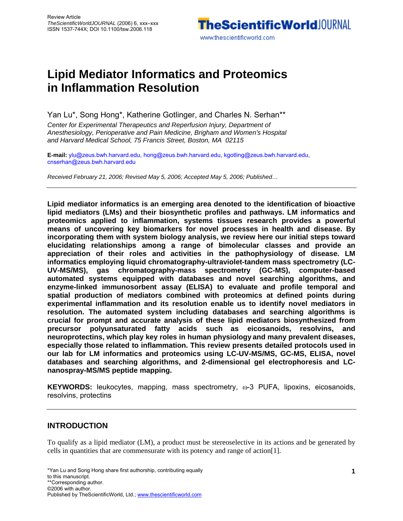# **Lipid Mediator Informatics and Proteomics in Inflammation Resolution**

Yan Lu\*, Song Hong\*, Katherine Gotlinger, and Charles N. Serhan\*\*

*Center for Experimental Therapeutics and Reperfusion Injury, Department of Anesthesiology, Perioperative and Pain Medicine, Brigham and Women's Hospital and Harvard Medical School, 75 Francis Street, Boston, MA 02115* 

**E-mail:** ylu@zeus.bwh.harvard.edu, hong@zeus.bwh.harvard.edu, kgotling@zeus.bwh.harvard.edu, cnserhan@zeus.bwh.harvard.edu

*Received February 21, 2006; Revised May 5, 2006; Accepted May 5, 2006; Published…*

**Lipid mediator informatics is an emerging area denoted to the identification of bioactive lipid mediators (LMs) and their biosynthetic profiles and pathways. LM informatics and proteomics applied to inflammation, systems tissues research provides a powerful means of uncovering key biomarkers for novel processes in health and disease. By incorporating them with system biology analysis, we review here our initial steps toward elucidating relationships among a range of bimolecular classes and provide an appreciation of their roles and activities in the pathophysiology of disease. LM informatics employing liquid chromatography-ultraviolet-tandem mass spectrometry (LC-UV-MS/MS), gas chromatography-mass spectrometry (GC-MS), computer-based automated systems equipped with databases and novel searching algorithms, and enzyme-linked immunosorbent assay (ELISA) to evaluate and profile temporal and spatial production of mediators combined with proteomics at defined points during experimental inflammation and its resolution enable us to identify novel mediators in resolution. The automated system including databases and searching algorithms is crucial for prompt and accurate analysis of these lipid mediators biosynthesized from precursor polyunsaturated fatty acids such as eicosanoids, resolvins, and neuroprotectins, which play key roles in human physiology and many prevalent diseases, especially those related to inflammation. This review presents detailed protocols used in our lab for LM informatics and proteomics using LC-UV-MS/MS, GC-MS, ELISA, novel databases and searching algorithms, and 2-dimensional gel electrophoresis and LCnanospray-MS/MS peptide mapping.** 

**KEYWORDS:** leukocytes, mapping, mass spectrometry, ω-3 PUFA, lipoxins, eicosanoids, resolvins, protectins

## **INTRODUCTION**

To qualify as a lipid mediator (LM), a product must be stereoselective in its actions and be generated by cells in quantities that are commensurate with its potency and range of action[1].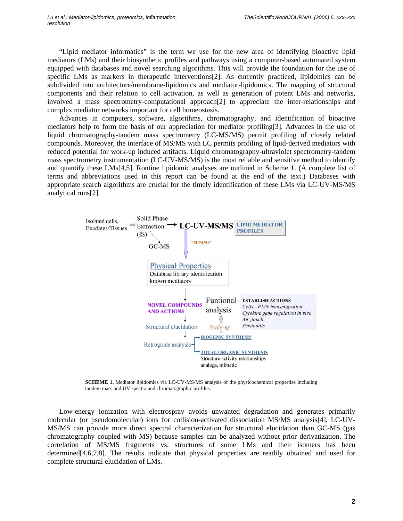"Lipid mediator informatics" is the term we use for the new area of identifying bioactive lipid mediators (LMs) and their biosynthetic profiles and pathways using a computer-based automated system equipped with databases and novel searching algorithms. This will provide the foundation for the use of specific LMs as markers in therapeutic interventions[2]. As currently practiced, lipidomics can be subdivided into architecture/membrane-lipidomics and mediator-lipidomics. The mapping of structural components and their relation to cell activation, as well as generation of potent LMs and networks, involved a mass spectrometry-computational approach[2] to appreciate the inter-relationships and complex mediator networks important for cell homeostasis.

Advances in computers, software, algorithms, chromatography, and identification of bioactive mediators help to form the basis of our appreciation for mediator profiling[3]. Advances in the use of liquid chromatography-tandem mass spectrometry (LC-MS/MS) permit profiling of closely related compounds. Moreover, the interface of MS/MS with LC permits profiling of lipid-derived mediators with reduced potential for work-up induced artifacts. Liquid chromatography-ultraviolet spectrometry-tandem mass spectrometry instrumentation (LC-UV-MS/MS) is the most reliable and sensitive method to identify and quantify these LMs[4,5]. Routine lipidomic analyses are outlined in Scheme 1. (A complete list of terms and abbreviations used in this report can be found at the end of the text.) Databases with appropriate search algorithms are crucial for the timely identification of these LMs via LC-UV-MS/MS analytical runs[2].



**SCHEME 1.** Mediator lipidomics via LC-UV-MS/MS analysis of the physicochemical properties including tandem mass and UV spectra and chromatographic profiles.

Low-energy ionization with electrospray avoids unwanted degradation and generates primarily molecular (or pseudomolecular) ions for collision-activated dissociation MS/MS analysis[4]. LC-UV-MS/MS can provide more direct spectral characterization for structural elucidation than GC-MS (gas chromatography coupled with MS) because samples can be analyzed without prior derivatization. The correlation of MS/MS fragments vs. structures of some LMs and their isomers has been determined[4,6,7,8]. The results indicate that physical properties are readily obtained and used for complete structural elucidation of LMs.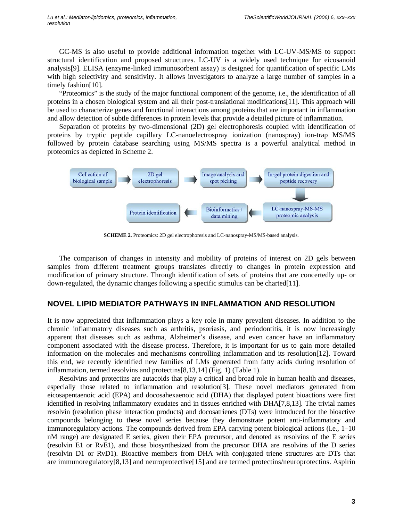GC-MS is also useful to provide additional information together with LC-UV-MS/MS to support structural identification and proposed structures. LC-UV is a widely used technique for eicosanoid analysis[9]. ELISA (enzyme-linked immunosorbent assay) is designed for quantification of specific LMs with high selectivity and sensitivity. It allows investigators to analyze a large number of samples in a timely fashion[10].

"Proteomics" is the study of the major functional component of the genome, i.e., the identification of all proteins in a chosen biological system and all their post-translational modifications[11]. This approach will be used to characterize genes and functional interactions among proteins that are important in inflammation and allow detection of subtle differences in protein levels that provide a detailed picture of inflammation.

Separation of proteins by two-dimensional (2D) gel electrophoresis coupled with identification of proteins by tryptic peptide capillary LC-nanoelectrospray ionization (nanospray) ion-trap MS/MS followed by protein database searching using MS/MS spectra is a powerful analytical method in proteomics as depicted in Scheme 2.



**SCHEME 2.** Proteomics: 2D gel electrophoresis and LC-nanospray-MS/MS-based analysis.

The comparison of changes in intensity and mobility of proteins of interest on 2D gels between samples from different treatment groups translates directly to changes in protein expression and modification of primary structure. Through identification of sets of proteins that are concertedly up- or down-regulated, the dynamic changes following a specific stimulus can be charted[11].

### **NOVEL LIPID MEDIATOR PATHWAYS IN INFLAMMATION AND RESOLUTION**

It is now appreciated that inflammation plays a key role in many prevalent diseases. In addition to the chronic inflammatory diseases such as arthritis, psoriasis, and periodontitis, it is now increasingly apparent that diseases such as asthma, Alzheimer's disease, and even cancer have an inflammatory component associated with the disease process. Therefore, it is important for us to gain more detailed information on the molecules and mechanisms controlling inflammation and its resolution[12]. Toward this end, we recently identified new families of LMs generated from fatty acids during resolution of inflammation, termed resolvins and protectins[8,13,14] (Fig. 1) (Table 1).

Resolvins and protectins are autacoids that play a critical and broad role in human health and diseases, especially those related to inflammation and resolution[3]. These novel mediators generated from eicosapentaenoic acid (EPA) and docosahexaenoic acid (DHA) that displayed potent bioactions were first identified in resolving inflammatory exudates and in tissues enriched with DHA[7,8,13]. The trivial names resolvin (resolution phase interaction products) and docosatrienes (DTs) were introduced for the bioactive compounds belonging to these novel series because they demonstrate potent anti-inflammatory and immunoregulatory actions. The compounds derived from EPA carrying potent biological actions (i.e., 1–10 nM range) are designated E series, given their EPA precursor, and denoted as resolvins of the E series (resolvin E1 or RvE1), and those biosynthesized from the precursor DHA are resolvins of the D series (resolvin D1 or RvD1). Bioactive members from DHA with conjugated triene structures are DTs that are immunoregulatory[8,13] and neuroprotective[15] and are termed protectins/neuroprotectins. Aspirin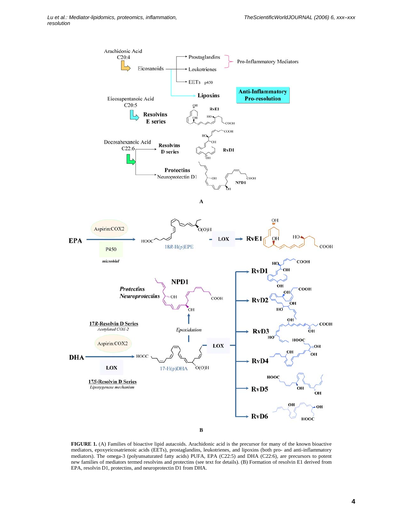

**FIGURE 1.** (A) Families of bioactive lipid autacoids. Arachidonic acid is the precursor for many of the known bioactive mediators, epoxyeicosatrienoic acids (EETs), prostaglandins, leukotrienes, and lipoxins (both pro- and anti-inflammatory mediators). The omega-3 (polyunsaturated fatty acids) PUFA, EPA (C22:5) and DHA (C22:6), are precursors to potent new families of mediators termed resolvins and protectins (see text for details). (B) Formation of resolvin E1 derived from EPA, resolvin D1, protectins, and neuroprotectin D1 from DHA.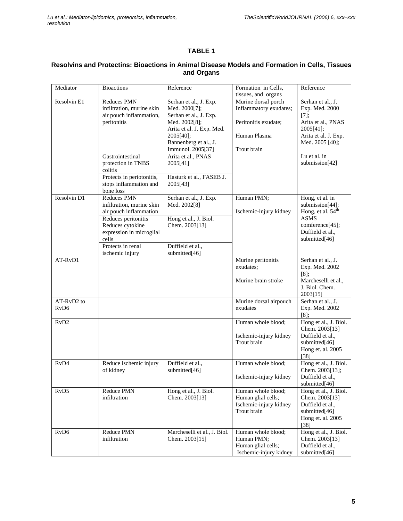#### **TABLE 1**

| Mediator                                    | <b>Bioactions</b>                                                                                                                                                                                 | Reference                                                                                                                                                                  | Formation in Cells.<br>tissues, and organs                                                           | Reference                                                                                                                                  |
|---------------------------------------------|---------------------------------------------------------------------------------------------------------------------------------------------------------------------------------------------------|----------------------------------------------------------------------------------------------------------------------------------------------------------------------------|------------------------------------------------------------------------------------------------------|--------------------------------------------------------------------------------------------------------------------------------------------|
| Resolvin E1                                 | Reduces PMN<br>infiltration, murine skin<br>air pouch inflammation,<br>peritonitis                                                                                                                | Serhan et al., J. Exp.<br>Med. 2000[7];<br>Serhan et al., J. Exp.<br>Med. 2002[8];<br>Arita et al. J. Exp. Med.<br>2005[40];<br>Bannenberg et al., J.<br>Immunol. 2005[37] | Murine dorsal porch<br>Inflammatory exudates;<br>Peritonitis exudate;<br>Human Plasma<br>Trout brain | Serhan et al., J.<br>Exp. Med. 2000<br>$[7]$ ;<br>Arita et al., PNAS<br>2005[41];<br>Arita et al. J. Exp.<br>Med. 2005 [40];               |
|                                             | Gastrointestinal<br>protection in TNBS<br>colitis<br>Protects in periotonitis,<br>stops inflammation and<br>bone loss                                                                             | Arita et al., PNAS<br>2005[41]<br>Hasturk et al., FASEB J.<br>2005[43]                                                                                                     |                                                                                                      | Lu et al. in<br>submission[42]                                                                                                             |
| Resolvin D1                                 | <b>Reduces PMN</b><br>infiltration, murine skin<br>air pouch inflammation<br>Reduces peritonitis<br>Reduces cytokine<br>expression in microglial<br>cells<br>Protects in renal<br>ischemic injury | Serhan et al., J. Exp.<br>Med. 2002[8]<br>Hong et al., J. Biol.<br>Chem. 2003[13]<br>Duffield et al.,<br>submitted[46]                                                     | Human PMN;<br>Ischemic-injury kidney                                                                 | Hong, et al. in<br>submission[44];<br>Hong, et al. 54 <sup>th</sup><br><b>ASMS</b><br>comference[45];<br>Duffield et al.,<br>submitted[46] |
| AT-RvD1                                     |                                                                                                                                                                                                   |                                                                                                                                                                            | Murine peritonitis<br>exudates:<br>Murine brain stroke                                               | Serhan et al., J.<br>Exp. Med. 2002<br>$[8]$ ;<br>Marcheselli et al.,<br>J. Biol. Chem.<br>2003[15]                                        |
| AT-RvD2 to<br>R <sub>v</sub> D <sub>6</sub> |                                                                                                                                                                                                   |                                                                                                                                                                            | Murine dorsal airpouch<br>exudates                                                                   | Serhan et al., J.<br>Exp. Med. 2002<br>[8]                                                                                                 |
| RvD <sub>2</sub>                            |                                                                                                                                                                                                   |                                                                                                                                                                            | Human whole blood;<br>Ischemic-injury kidney<br>Trout brain                                          | Hong et al., J. Biol.<br>Chem. 2003[13]<br>Duffield et al.,<br>submitted[46]<br>Hong et. al. 2005<br>$[38]$                                |
| RvD4                                        | Reduce ischemic injury<br>of kidney                                                                                                                                                               | Duffield et al.,<br>submitted[46]                                                                                                                                          | Human whole blood;<br>Ischemic-injury kidney                                                         | Hong et al., J. Biol.<br>Chem. 2003[13];<br>Duffield et al.,<br>submitted[46]                                                              |
| RvD5                                        | Reduce PMN<br>infiltration                                                                                                                                                                        | Hong et al., J. Biol.<br>Chem. 2003[13]                                                                                                                                    | Human whole blood;<br>Human glial cells;<br>Ischemic-injury kidney<br>Trout brain                    | Hong et al., J. Biol.<br>Chem. 2003[13]<br>Duffield et al.,<br>submitted[46]<br>Hong et. al. 2005<br>$[38]$                                |
| RvD <sub>6</sub>                            | Reduce PMN<br>infiltration                                                                                                                                                                        | Marcheselli et al., J. Biol.<br>Chem. 2003[15]                                                                                                                             | Human whole blood;<br>Human PMN;<br>Human glial cells;<br>Ischemic-injury kidney                     | Hong et al., J. Biol.<br>Chem. 2003[13]<br>Duffield et al.,<br>submitted[46]                                                               |

#### **Resolvins and Protectins: Bioactions in Animal Disease Models and Formation in Cells, Tissues and Organs**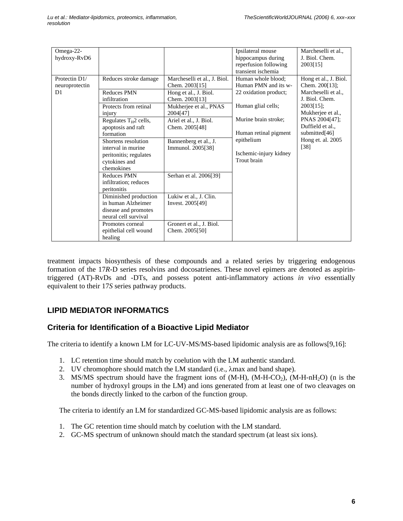| Omega-22-<br>hydroxy-RvD6                          |                                                                                                                                                                                                                                                                                                                                                                                                                                                                                         |                                                                                                                                                                                                                                                                                                                                                 | Ipsilateral mouse<br>hippocampus during<br>reperfusion following<br>transient ischemia                                                                                                            | Marcheselli et al.,<br>J. Biol. Chem.<br>2003[15]                                                                                                                                                           |
|----------------------------------------------------|-----------------------------------------------------------------------------------------------------------------------------------------------------------------------------------------------------------------------------------------------------------------------------------------------------------------------------------------------------------------------------------------------------------------------------------------------------------------------------------------|-------------------------------------------------------------------------------------------------------------------------------------------------------------------------------------------------------------------------------------------------------------------------------------------------------------------------------------------------|---------------------------------------------------------------------------------------------------------------------------------------------------------------------------------------------------|-------------------------------------------------------------------------------------------------------------------------------------------------------------------------------------------------------------|
| Protectin D <sub>1</sub> /<br>neuroprotectin<br>D1 | Reduces stroke damage<br><b>Reduces PMN</b><br>infiltration<br>Protects from retinal<br>injury<br>Regulates $T_H2$ cells,<br>apoptosis and raft<br>formation<br>Shortens resolution<br>interval in murine<br>peritonitis; regulates<br>cytokines and<br>chemokines<br><b>Reduces PMN</b><br>infiltration; reduces<br>peritonitis<br>Diminished production<br>in human Alzheimer<br>disease and promotes<br>neural cell survival<br>Promotes corneal<br>epithelial cell wound<br>healing | Marcheselli et al., J. Biol.<br>Chem. 2003[15]<br>Hong et al., J. Biol.<br>Chem. 2003[13]<br>Mukherjee et al., PNAS<br>2004[47]<br>Ariel et al., J. Biol.<br>Chem. 2005[48]<br>Bannenberg et al., J.<br>Immunol. 2005[38]<br>Serhan et al. 2006[39]<br>Lukiw et al., J. Clin.<br>Invest. 2005[49]<br>Gronert et al., J. Biol.<br>Chem. 2005[50] | Human whole blood;<br>Human PMN and its w-<br>22 oxidation product;<br>Human glial cells;<br>Murine brain stroke;<br>Human retinal pigment<br>epithelium<br>Ischemic-injury kidney<br>Trout brain | Hong et al., J. Biol.<br>Chem. 200[13];<br>Marcheselli et al.,<br>J. Biol. Chem.<br>$2003[15]$ ;<br>Mukherjee et al.,<br>PNAS 2004[47];<br>Duffield et al.,<br>submitted[46]<br>Hong et. al. 2005<br>$[38]$ |

treatment impacts biosynthesis of these compounds and a related series by triggering endogenous formation of the 17*R*-D series resolvins and docosatrienes. These novel epimers are denoted as aspirintriggered (AT)-RvDs and -DTs, and possess potent anti-inflammatory actions *in vivo* essentially equivalent to their 17*S* series pathway products.

## **LIPID MEDIATOR INFORMATICS**

## **Criteria for Identification of a Bioactive Lipid Mediator**

The criteria to identify a known LM for LC-UV-MS/MS-based lipidomic analysis are as follows[9,16]:

- 1. LC retention time should match by coelution with the LM authentic standard.
- 2. UV chromophore should match the LM standard (i.e., λmax and band shape).
- 3. MS/MS spectrum should have the fragment ions of  $(M-H)$ ,  $(M-H-CO<sub>2</sub>)$ ,  $(M-H-nH<sub>2</sub>O)$  (n is the number of hydroxyl groups in the LM) and ions generated from at least one of two cleavages on the bonds directly linked to the carbon of the function group.

The criteria to identify an LM for standardized GC-MS-based lipidomic analysis are as follows:

- 1. The GC retention time should match by coelution with the LM standard.
- 2. GC-MS spectrum of unknown should match the standard spectrum (at least six ions).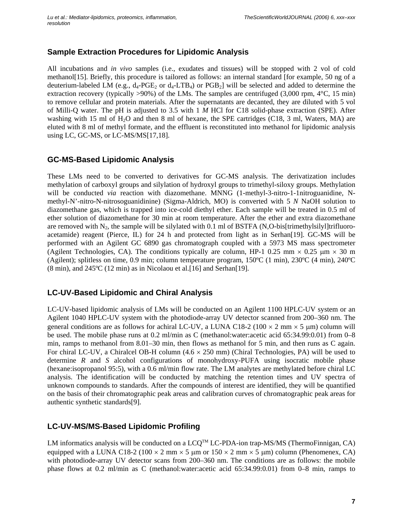## **Sample Extraction Procedures for Lipidomic Analysis**

All incubations and *in vivo* samples (i.e., exudates and tissues) will be stopped with 2 vol of cold methanol[15]. Briefly, this procedure is tailored as follows: an internal standard [for example, 50 ng of a deuterium-labeled LM (e.g.,  $d_4$ -PGE<sub>2</sub> or  $d_4$ -LTB<sub>4</sub>) or PGB<sub>2</sub>] will be selected and added to determine the extraction recovery (typically  $>90\%$ ) of the LMs. The samples are centrifuged (3,000 rpm,  $4^{\circ}$ C, 15 min) to remove cellular and protein materials. After the supernatants are decanted, they are diluted with 5 vol of Milli-Q water. The pH is adjusted to 3.5 with 1 *M* HCl for C18 solid-phase extraction (SPE). After washing with 15 ml of H<sub>2</sub>O and then 8 ml of hexane, the SPE cartridges (C18, 3 ml, Waters, MA) are eluted with 8 ml of methyl formate, and the effluent is reconstituted into methanol for lipidomic analysis using LC, GC-MS, or LC-MS/MS[17,18].

## **GC-MS-Based Lipidomic Analysis**

These LMs need to be converted to derivatives for GC-MS analysis. The derivatization includes methylation of carboxyl groups and silylation of hydroxyl groups to trimethyl-siloxy groups. Methylation will be conducted *via* reaction with diazomethane. MNNG (1-methyl-3-nitro-1-1nitroguanidine, Nmethyl-N'-nitro-N-nitrosoguanidinine) (Sigma-Aldrich, MO) is converted with 5 *N* NaOH solution to diazomethane gas, which is trapped into ice-cold diethyl ether. Each sample will be treated in 0.5 ml of ether solution of diazomethane for 30 min at room temperature. After the ether and extra diazomethane are removed with  $N_2$ , the sample will be silylated with 0.1 ml of BSTFA (N,O-bis[trimethylsilyl]trifluoroacetamide) reagent (Pierce, IL) for 24 h and protected from light as in Serhan[19]. GC-MS will be performed with an Agilent GC 6890 gas chromatograph coupled with a 5973 MS mass spectrometer (Agilent Technologies, CA). The conditions typically are column, HP-1 0.25 mm  $\times$  0.25 µm  $\times$  30 m (Agilent); splitless on time, 0.9 min; column temperature program, 150ºC (1 min), 230ºC (4 min), 240ºC (8 min), and 245ºC (12 min) as in Nicolaou et al.[16] and Serhan[19].

## **LC-UV-Based Lipidomic and Chiral Analysis**

LC-UV-based lipidomic analysis of LMs will be conducted on an Agilent 1100 HPLC-UV system or an Agilent 1040 HPLC-UV system with the photodiode-array UV detector scanned from 200–360 nm. The general conditions are as follows for achiral LC-UV, a LUNA C18-2 (100  $\times$  2 mm  $\times$  5 µm) column will be used. The mobile phase runs at 0.2 ml/min as C (methanol:water:acetic acid 65:34.99:0.01) from 0–8 min, ramps to methanol from 8.01–30 min, then flows as methanol for 5 min, and then runs as C again. For chiral LC-UV, a Chiralcel OB-H column  $(4.6 \times 250 \text{ mm})$  (Chiral Technologies, PA) will be used to determine *R* and *S* alcohol configurations of monohydroxy-PUFA using isocratic mobile phase (hexane:isopropanol 95:5), with a 0.6 ml/min flow rate. The LM analytes are methylated before chiral LC analysis. The identification will be conducted by matching the retention times and UV spectra of unknown compounds to standards. After the compounds of interest are identified, they will be quantified on the basis of their chromatographic peak areas and calibration curves of chromatographic peak areas for authentic synthetic standards[9].

## **LC-UV-MS/MS-Based Lipidomic Profiling**

LM informatics analysis will be conducted on a  $LCQ^{TM}$  LC-PDA-ion trap-MS/MS (ThermoFinnigan, CA) equipped with a LUNA C18-2 (100  $\times$  2 mm  $\times$  5 µm or 150  $\times$  2 mm  $\times$  5 µm) column (Phenomenex, CA) with photodiode-array UV detector scans from 200–360 nm. The conditions are as follows: the mobile phase flows at 0.2 ml/min as C (methanol:water:acetic acid 65:34.99:0.01) from 0–8 min, ramps to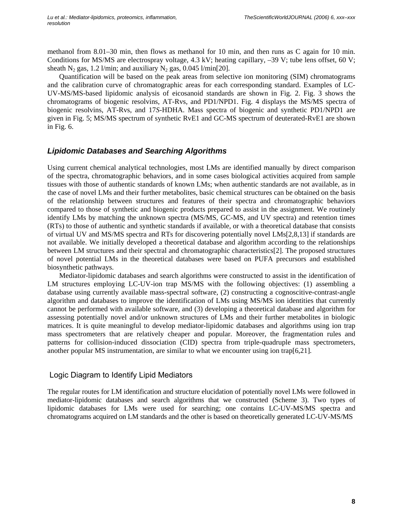methanol from 8.01–30 min, then flows as methanol for 10 min, and then runs as C again for 10 min. Conditions for MS/MS are electrospray voltage, 4.3 kV; heating capillary, –39 V; tube lens offset, 60 V; sheath  $N_2$  gas, 1.2 l/min; and auxiliary  $N_2$  gas, 0.045 l/min[20].

Quantification will be based on the peak areas from selective ion monitoring (SIM) chromatograms and the calibration curve of chromatographic areas for each corresponding standard. Examples of LC-UV-MS/MS-based lipidomic analysis of eicosanoid standards are shown in Fig. 2. Fig. 3 shows the chromatograms of biogenic resolvins, AT-Rvs, and PD1/NPD1. Fig. 4 displays the MS/MS spectra of biogenic resolvins, AT-Rvs, and 17*S*-HDHA. Mass spectra of biogenic and synthetic PD1/NPD1 are given in Fig. 5; MS/MS spectrum of synthetic RvE1 and GC-MS spectrum of deuterated-RvE1 are shown in Fig. 6.

#### *Lipidomic Databases and Searching Algorithms*

Using current chemical analytical technologies, most LMs are identified manually by direct comparison of the spectra, chromatographic behaviors, and in some cases biological activities acquired from sample tissues with those of authentic standards of known LMs; when authentic standards are not available, as in the case of novel LMs and their further metabolites, basic chemical structures can be obtained on the basis of the relationship between structures and features of their spectra and chromatographic behaviors compared to those of synthetic and biogenic products prepared to assist in the assignment. We routinely identify LMs by matching the unknown spectra (MS/MS, GC-MS, and UV spectra) and retention times (RTs) to those of authentic and synthetic standards if available, or with a theoretical database that consists of virtual UV and MS/MS spectra and RTs for discovering potentially novel LMs[2,8,13] if standards are not available. We initially developed a theoretical database and algorithm according to the relationships between LM structures and their spectral and chromatographic characteristics[2]. The proposed structures of novel potential LMs in the theoretical databases were based on PUFA precursors and established biosynthetic pathways.

Mediator-lipidomic databases and search algorithms were constructed to assist in the identification of LM structures employing LC-UV-ion trap MS/MS with the following objectives: (1) assembling a database using currently available mass-spectral software, (2) constructing a cognoscitive-contrast-angle algorithm and databases to improve the identification of LMs using MS/MS ion identities that currently cannot be performed with available software, and (3) developing a theoretical database and algorithm for assessing potentially novel and/or unknown structures of LMs and their further metabolites in biologic matrices. It is quite meaningful to develop mediator-lipidomic databases and algorithms using ion trap mass spectrometers that are relatively cheaper and popular. Moreover, the fragmentation rules and patterns for collision-induced dissociation (CID) spectra from triple-quadruple mass spectrometers, another popular MS instrumentation, are similar to what we encounter using ion trap[6,21].

#### Logic Diagram to Identify Lipid Mediators

The regular routes for LM identification and structure elucidation of potentially novel LMs were followed in mediator-lipidomic databases and search algorithms that we constructed (Scheme 3). Two types of lipidomic databases for LMs were used for searching; one contains LC-UV-MS/MS spectra and chromatograms acquired on LM standards and the other is based on theoretically generated LC-UV-MS/MS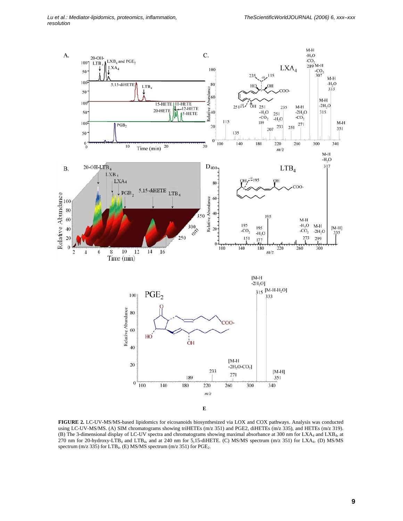

**FIGURE 2.** LC-UV-MS/MS-based lipidomics for eicosanoids biosynthesized via LOX and COX pathways. Analysis was conducted using LC-UV-MS/MS. (A) SIM chromatograms showing triHETEs (m/z 351) and PGE2, diHETEs (m/z 335), and HETEs (m/z 319). (B) The 3-dimensional display of LC-UV spectra and chromatograms showing maximal absorbance at 300 nm for LXA4 and LXB4, at 270 nm for 20-hydroxy-LTB4 and LTB4, and at 240 nm for 5,15-diHETE. (C) MS/MS spectrum (m/z 351) for LXA4. (D) MS/MS spectrum  $(m/z 335)$  for LTB<sub>4</sub>. (E) MS/MS spectrum  $(m/z 351)$  for PGE<sub>2</sub>.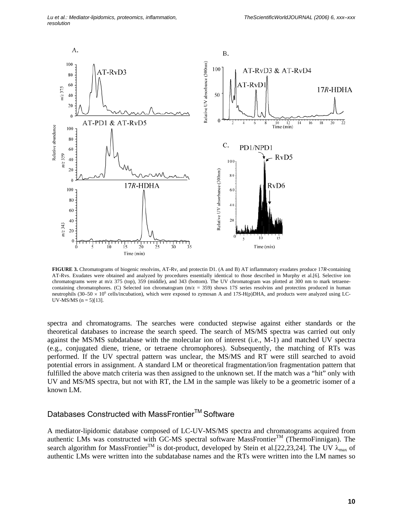

**FIGURE 3.** Chromatograms of biogenic resolvins, AT-Rv, and protectin D1. (A and B) AT inflammatory exudates produce 17*R*-containing AT-Rvs. Exudates were obtained and analyzed by procedures essentially identical to those described in Murphy et al.[6]. Selective ion chromatograms were at m/z 375 (top), 359 (middle), and 343 (bottom). The UV chromatogram was plotted at 300 nm to mark tetraenecontaining chromatophores. (C) Selected ion chromatogram (m/z = 359) shows 17*S* series resolvins and protectins produced in human neutrophils (30–50 × 10<sup>6</sup> cells/incubation), which were exposed to zymosan A and 17*S*-H(p)DHA, and products were analyzed using LC-UV-MS/MS  $(n = 5)[13]$ .

spectra and chromatograms. The searches were conducted stepwise against either standards or the theoretical databases to increase the search speed. The search of MS/MS spectra was carried out only against the MS/MS subdatabase with the molecular ion of interest (i.e., M-1) and matched UV spectra (e.g., conjugated diene, triene, or tetraene chromophores). Subsequently, the matching of RTs was performed. If the UV spectral pattern was unclear, the MS/MS and RT were still searched to avoid potential errors in assignment. A standard LM or theoretical fragmentation/ion fragmentation pattern that fulfilled the above match criteria was then assigned to the unknown set. If the match was a "hit" only with UV and MS/MS spectra, but not with RT, the LM in the sample was likely to be a geometric isomer of a known LM.

## Databases Constructed with MassFrontier™ Software

A mediator-lipidomic database composed of LC-UV-MS/MS spectra and chromatograms acquired from authentic LMs was constructed with GC-MS spectral software MassFrontierTM (ThermoFinnigan). The search algorithm for MassFrontier<sup>TM</sup> is dot-product, developed by Stein et al.[22,23,24]. The UV  $\lambda_{\text{max}}$  of authentic LMs were written into the subdatabase names and the RTs were written into the LM names so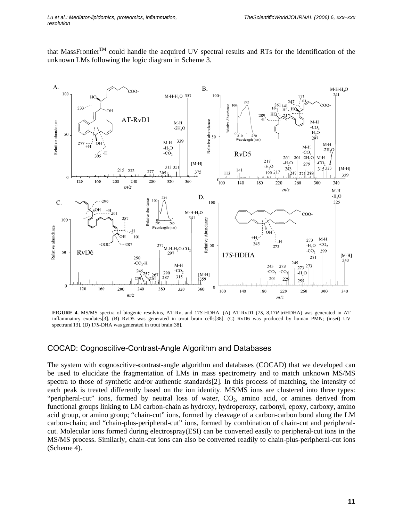that MassFrontier<sup>TM</sup> could handle the acquired UV spectral results and RTs for the identification of the unknown LMs following the logic diagram in Scheme 3.



**FIGURE 4.** MS/MS spectra of biogenic resolvins, AT-Rv, and 17*S*-HDHA. (A) AT-RvD1 (7*S*, 8,17*R*-triHDHA) was generated in AT inflammatory exudates[3]. (B) RvD5 was generated in trout brain cells[38]. (C) RvD6 was produced by human PMN; (inset) UV spectrum[13]. (D) 17*S*-DHA was generated in trout brain[38].

#### COCAD: Cognoscitive-Contrast-Angle Algorithm and Databases

The system with **c**ognoscitive-**c**ontrast-angle **a**lgorithm and **d**atabases (COCAD) that we developed can be used to elucidate the fragmentation of LMs in mass spectrometry and to match unknown MS/MS spectra to those of synthetic and/or authentic standards[2]. In this process of matching, the intensity of each peak is treated differently based on the ion identity. MS/MS ions are clustered into three types: "peripheral-cut" ions, formed by neutral loss of water,  $CO<sub>2</sub>$ , amino acid, or amines derived from functional groups linking to LM carbon-chain as hydroxy, hydroperoxy, carbonyl, epoxy, carboxy, amino acid group, or amino group; "chain-cut" ions, formed by cleavage of a carbon-carbon bond along the LM carbon-chain; and "chain-plus-peripheral-cut" ions, formed by combination of chain-cut and peripheralcut. Molecular ions formed during electrospray(ESI) can be converted easily to peripheral-cut ions in the MS/MS process. Similarly, chain-cut ions can also be converted readily to chain-plus-peripheral-cut ions (Scheme 4).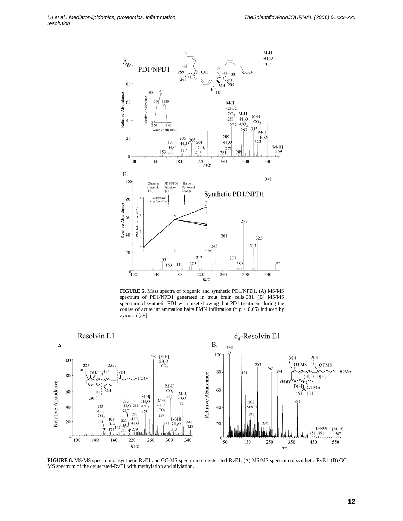

**FIGURE 5.** Mass spectra of biogenic and synthetic PD1/NPD1. (A) MS/MS spectrum of PD1/NPD1 generated in trout brain cells[38]. (B) MS/MS spectrum of synthetic PD1 with inset showing that PD1 treatment during the course of acute inflammation halts PMN infiltration ( $p < 0.05$ ) induced by zymosan[39].



**FIGURE 6.** MS/MS spectrum of synthetic RvE1 and GC-MS spectrum of deuterated-RvE1. (A) MS/MS spectrum of synthetic RvE1. (B) GC-MS spectrum of the deuterated-RvE1 with methylation and silylation.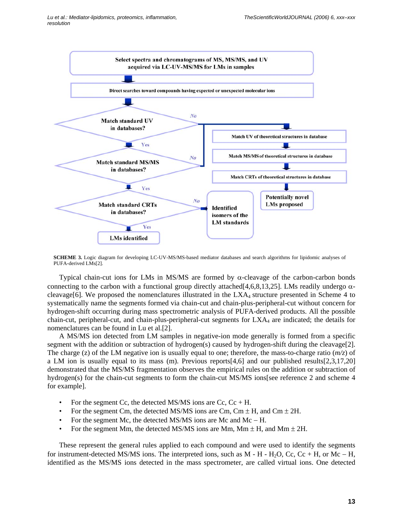

**SCHEME 3.** Logic diagram for developing LC-UV-MS/MS-based mediator databases and search algorithms for lipidomic analyses of PUFA-derived LMs[2].

Typical chain-cut ions for LMs in MS/MS are formed by α-cleavage of the carbon-carbon bonds connecting to the carbon with a functional group directly attached [4,6,8,13,25]. LMs readily undergo  $\alpha$ cleavage[6]. We proposed the nomenclatures illustrated in the  $LXA<sub>4</sub>$  structure presented in Scheme 4 to systematically name the segments formed via chain-cut and chain-plus-peripheral-cut without concern for hydrogen-shift occurring during mass spectrometric analysis of PUFA-derived products. All the possible chain-cut, peripheral-cut, and chain-plus-peripheral-cut segments for LXA<sub>4</sub> are indicated; the details for nomenclatures can be found in Lu et al.[2].

A MS/MS ion detected from LM samples in negative-ion mode generally is formed from a specific segment with the addition or subtraction of hydrogen(s) caused by hydrogen-shift during the cleavage[2]. The charge (z) of the LM negative ion is usually equal to one; therefore, the mass-to-charge ratio (*m/z*) of a LM ion is usually equal to its mass (m). Previous reports[4,6] and our published results[2,3,17,20] demonstrated that the MS/MS fragmentation observes the empirical rules on the addition or subtraction of hydrogen(s) for the chain-cut segments to form the chain-cut MS/MS ions[see reference 2 and scheme 4 for example].

- For the segment Cc, the detected MS/MS ions are Cc,  $Ce + H$ .
- For the segment Cm, the detected MS/MS ions are Cm, Cm  $\pm$  H, and Cm  $\pm$  2H.
- For the segment Mc, the detected MS/MS ions are Mc and Mc − H.
- For the segment Mm, the detected MS/MS ions are Mm, Mm  $\pm$  H, and Mm  $\pm$  2H.

These represent the general rules applied to each compound and were used to identify the segments for instrument-detected MS/MS ions. The interpreted ions, such as M - H - H<sub>2</sub>O, Cc, Cc + H, or Mc – H, identified as the MS/MS ions detected in the mass spectrometer, are called virtual ions. One detected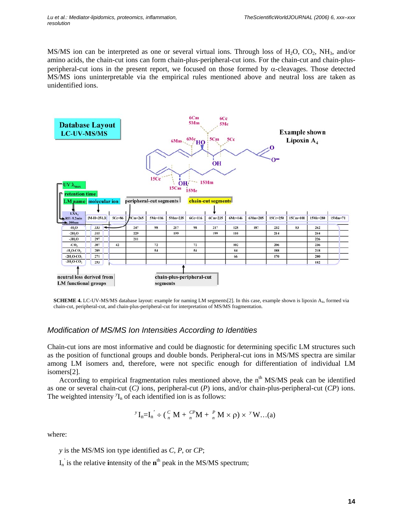MS/MS ion can be interpreted as one or several virtual ions. Through loss of  $H_2O$ ,  $CO_2$ ,  $NH_3$ , and/or amino acids, the chain-cut ions can form chain-plus-peripheral-cut ions. For the chain-cut and chain-plusperipheral-cut ions in the present report, we focused on those formed by  $\alpha$ -cleavages. Those detected MS/MS ions uninterpretable via the empirical rules mentioned above and neutral loss are taken as unidentified ions.



**SCHEME 4.** LC-UV-MS/MS database layout: example for naming LM segments[2]. In this case, example shown is lipoxin A4, formed via chain-cut, peripheral-cut, and chain-plus-peripheral-cut for interpretation of MS/MS fragmentation.

#### *Modification of MS/MS Ion Intensities According to Identities*

Chain-cut ions are most informative and could be diagnostic for determining specific LM structures such as the position of functional groups and double bonds. Peripheral-cut ions in MS/MS spectra are similar among LM isomers and, therefore, were not specific enough for differentiation of individual LM isomers[2].

According to empirical fragmentation rules mentioned above, the  $n<sup>th</sup>$  MS/MS peak can be identified as one or several chain-cut (*C)* ions, peripheral-cut (*P*) ions, and/or chain-plus-peripheral-cut (*CP*) ions. The weighted intensity  ${}^{y}I_{n}$  of each identified ion is as follows:

$$
{}^{y}I_{n} = I_{n}^{\prime} \div ({}^{C}_{n} M + {}^{CP}_{n} M + {}^{P}_{n} M \times \rho) \times {}^{y}W...(a)
$$

where:

*y* is the MS/MS ion type identified as *C*, *P*, or *CP*;

 $I_n$  is the relative **i**ntensity of the  $n^{th}$  peak in the MS/MS spectrum;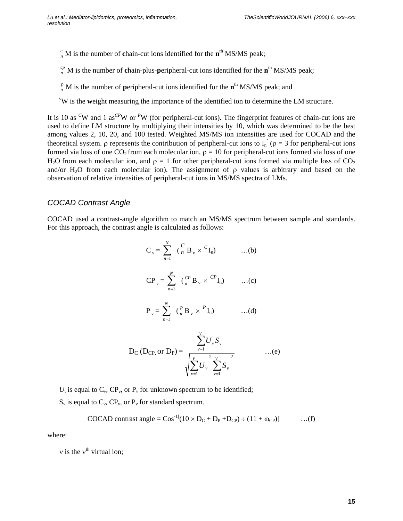$\mathbf{r}_n^c$  M is the number of **c**hain-cut ions identified for the **n**<sup>th</sup> MS/MS peak;

 $c_p^{cp}$  M is the number of **c**hain-plus-**p**eripheral-cut ions identified for the **n**<sup>th</sup> MS/MS peak;

 $_p^p$  M is the number of **p**eripheral-cut ions identified for the **n**<sup>th</sup> MS/MS peak; and

*y* W is the **w**eight measuring the importance of the identified ion to determine the LM structure.

It is 10 as <sup>*C*</sup>W and 1 as<sup>*CP*</sup>W or <sup>*P*</sup>W (for peripheral-cut ions). The fingerprint features of chain-cut ions are used to define LM structure by multiplying their intensities by 10, which was determined to be the best among values 2, 10, 20, and 100 tested. Weighted MS/MS ion intensities are used for COCAD and the theoretical system.  $\rho$  represents the contribution of peripheral-cut ions to  $I_n$ <sup>'</sup> ( $\rho = 3$  for peripheral-cut ions formed via loss of one  $CO_2$  from each molecular ion,  $\rho = 10$  for peripheral-cut ions formed via loss of one H<sub>2</sub>O from each molecular ion, and  $\rho = 1$  for other peripheral-cut ions formed via multiple loss of CO<sub>2</sub> and/or H<sub>2</sub>O from each molecular ion). The assignment of  $\rho$  values is arbitrary and based on the observation of relative intensities of peripheral-cut ions in MS/MS spectra of LMs.

#### *COCAD Contrast Angle*

COCAD used a contrast-angle algorithm to match an MS/MS spectrum between sample and standards. For this approach, the contrast angle is calculated as follows:

$$
C_{\nu} = \sum_{n=1}^{N} (C_{n}^{C} B_{\nu} \times C_{I_{n}}) \qquad ...(b)
$$
  
\n
$$
CP_{\nu} = \sum_{n=1}^{N} (C_{n}^{C} B_{\nu} \times C_{I_{n}}) \qquad ...(c)
$$
  
\n
$$
P_{\nu} = \sum_{n=1}^{N} (C_{n}^{P} B_{\nu} \times C_{I_{n}}) \qquad ...(d)
$$
  
\n
$$
D_{C} (D_{CP,} \text{ or } D_{P}) = \frac{\sum_{\nu=1}^{V} U_{\nu} S_{\nu}}{\sqrt{\sum_{\nu=1}^{V} U_{\nu} \sum_{\nu=1}^{2} S_{\nu}} \qquad ...(e)
$$

 $U_{\nu}$  is equal to  $C_{\nu}$ ,  $CP_{\nu}$ , or  $P_{\nu}$  for unknown spectrum to be identified;

 $S_v$  is equal to  $C_v$ ,  $CP_v$ , or  $P_v$  for standard spectrum.

$$
COCAD \text{ contrast angle} = Cos^{-1} (10 \times D_C + D_P + D_{CP}) \div (11 + \omega_{CP})
$$
...(f)

where:

 $v$  is the  $v<sup>th</sup>$  virtual ion: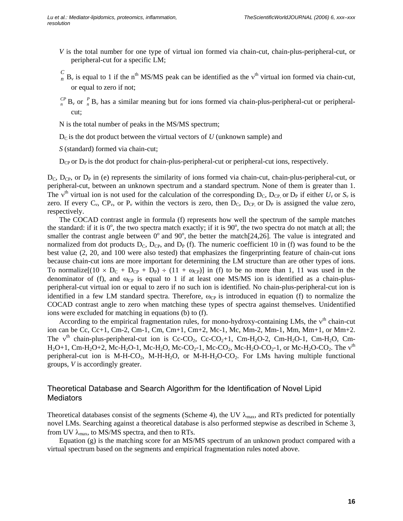*V* is the total number for one type of virtual ion formed via chain-cut, chain-plus-peripheral-cut, or peripheral-cut for a specific LM;

- $\frac{C}{n}$  B<sub>*v*</sub> is equal to 1 if the n<sup>th</sup> MS/MS peak can be identified as the v<sup>th</sup> virtual ion formed via chain-cut, or equal to zero if not;
- $^{CP}_{n}$  B<sub>*v*</sub> or  $^{P}_{n}$  B<sub>*v*</sub> has a similar meaning but for ions formed via chain-plus-peripheral-cut or peripheralcut;
- N is the total number of peaks in the MS/MS spectrum;
- $D<sub>C</sub>$  is the dot product between the virtual vectors of  $U$  (unknown sample) and

*S* (standard) formed via chain-cut;

 $D_{CP}$  or  $D_P$  is the dot product for chain-plus-peripheral-cut or peripheral-cut ions, respectively.

 $D_{C}$ ,  $D_{CP}$ , or  $D_{P}$  in (e) represents the similarity of ions formed via chain-cut, chain-plus-peripheral-cut, or peripheral-cut, between an unknown spectrum and a standard spectrum. None of them is greater than 1. The  $v<sup>th</sup>$  virtual ion is not used for the calculation of the corresponding  $D_C$ ,  $D_{CP}$  or  $D_P$  if either  $U_v$  or  $S_v$  is zero. If every  $C_v$ ,  $CP_v$ , or  $P_v$  within the vectors is zero, then  $D_c$ ,  $D_{CP}$  or  $D_p$  is assigned the value zero, respectively.

The COCAD contrast angle in formula (f) represents how well the spectrum of the sample matches the standard: if it is  $0^{\circ}$ , the two spectra match exactly; if it is  $90^{\circ}$ , the two spectra do not match at all; the smaller the contrast angle between  $0^{\circ}$  and  $90^{\circ}$ , the better the match $[24,26]$ . The value is integrated and normalized from dot products  $D_C$ ,  $D_{CP}$ , and  $D_P$  (f). The numeric coefficient 10 in (f) was found to be the best value (2, 20, and 100 were also tested) that emphasizes the fingerprinting feature of chain-cut ions because chain-cut ions are more important for determining the LM structure than are other types of ions. To normalize[ $(10 \times D_C + D_{CP} + D_P) \div (11 + \omega_{CP})$ ] in (f) to be no more than 1, 11 was used in the denominator of (f), and  $\omega_{CP}$  is equal to 1 if at least one MS/MS ion is identified as a chain-plusperipheral-cut virtual ion or equal to zero if no such ion is identified. No chain-plus-peripheral-cut ion is identified in a few LM standard spectra. Therefore,  $\omega_{CP}$  is introduced in equation (f) to normalize the COCAD contrast angle to zero when matching these types of spectra against themselves. Unidentified ions were excluded for matching in equations (b) to (f).

According to the empirical fragmentation rules, for mono-hydroxy-containing LMs, the  $v<sup>th</sup>$  chain-cut ion can be Cc, Cc+1, Cm-2, Cm-1, Cm, Cm+1, Cm+2, Mc-1, Mc, Mm-2, Mm-1, Mm, Mm+1, or Mm+2. The  $v<sup>th</sup>$  chain-plus-peripheral-cut ion is Cc-CO<sub>2</sub>, Cc-CO<sub>2</sub>+1, Cm-H<sub>2</sub>O-2, Cm-H<sub>2</sub>O-1, Cm-H<sub>2</sub>O, Cm- $H_2O+1$ , Cm-H<sub>2</sub>O+2, Mc-H<sub>2</sub>O-1, Mc-H<sub>2</sub>O, Mc-CO<sub>2</sub>-1, Mc-CO<sub>2</sub>, Mc-H<sub>2</sub>O-CO<sub>2</sub>-1, or Mc-H<sub>2</sub>O-CO<sub>2</sub>. The  $v<sup>th</sup>$ peripheral-cut ion is M-H-CO<sub>2</sub>, M-H-H<sub>2</sub>O, or M-H-H<sub>2</sub>O-CO<sub>2</sub>. For LMs having multiple functional groups, *V* is accordingly greater.

### Theoretical Database and Search Algorithm for the Identification of Novel Lipid **Mediators**

Theoretical databases consist of the segments (Scheme 4), the UV  $\lambda_{\text{max}}$ , and RTs predicted for potentially novel LMs. Searching against a theoretical database is also performed stepwise as described in Scheme 3, from UV  $\lambda_{\text{max}}$ , to MS/MS spectra, and then to RTs.

Equation (g) is the matching score for an MS/MS spectrum of an unknown product compared with a virtual spectrum based on the segments and empirical fragmentation rules noted above.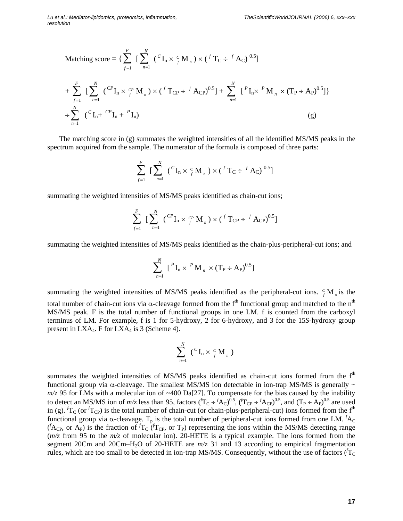*Lu et al.: Mediator-lipidomics, proteomics, inflammation, resolution*

Matching score = \n
$$
\{ \sum_{f=1}^{F} \left[ \sum_{n=1}^{N} \left( \frac{C I_{n} \times \frac{C}{f} M_{n}}{2} \right) \times \left( \frac{f T_{C} \div f A_{C}}{2} \right)^{0.5} \right]\n+ \sum_{f=1}^{F} \left[ \sum_{n=1}^{N} \left( \frac{C P_{n} \times \frac{C P}{f} M_{n}}{2} \right) \times \left( \frac{f T_{C P} \div f A_{C P}}{2} \right)^{0.5} \right]\n+ \sum_{n=1}^{N} \left[ \frac{P_{n} \times \frac{P}{f} M_{n}}{2} \times \left( \frac{F_{n} \div \frac{P}{f} M_{n}}{2} \right)^{0.5} \right]\n+ \sum_{n=1}^{N} \left( \frac{C I_{n} \div \frac{C P_{n}}{f}}{2} \right] \times \left[ \frac{P_{n} \times \frac{C P_{n}}{f}}{2} \right] \tag{g}
$$

The matching score in (g) summates the weighted intensities of all the identified MS/MS peaks in the spectrum acquired from the sample. The numerator of the formula is composed of three parts:

$$
\sum_{f=1}^{F} \left[ \sum_{n=1}^{N} \left( {}^{C}\mathbf{I}_{n} \times {}^{C}_{f} \mathbf{M}_{n} \right) \times \left( {}^{f} \mathbf{T}_{C} \div {}^{f} \mathbf{A}_{C} \right) {}^{0.5} \right]
$$

summating the weighted intensities of MS/MS peaks identified as chain-cut ions;

$$
\sum_{f=1}^{F} \left[ \sum_{n=1}^{N} \left( {^{CP}} \mathbf{I}_{n} \times {^{CP}}_{f} \mathbf{M}_{n} \right) \times \left( {^{f} \mathbf{T}_{\text{CP}} \div {^{f} \mathbf{A}_{\text{CP}}} } \right)^{0.5} \right]
$$

summating the weighted intensities of MS/MS peaks identified as the chain-plus-peripheral-cut ions; and

$$
\sum_{n=1}^{N} [P_{I_n} \times P M_n \times (T_P \div A_P)^{0.5}]
$$

summating the weighted intensities of MS/MS peaks identified as the peripheral-cut ions.  $\frac{c}{f} M_n$  is the total number of chain-cut ions via  $\alpha$ -cleavage formed from the f<sup>th</sup> functional group and matched to the n<sup>th</sup> MS/MS peak. F is the total number of functional groups in one LM. f is counted from the carboxyl terminus of LM. For example, f is 1 for 5-hydroxy, 2 for 6-hydroxy, and 3 for the 15*S*-hydroxy group present in  $LXA<sub>4</sub>$ . F for  $LXA<sub>4</sub>$  is 3 (Scheme 4).

$$
\sum_{n=1}^N (C_{\mathbf{I}_n} \times c_{f}^c \mathbf{M}_n)
$$

summates the weighted intensities of MS/MS peaks identified as chain-cut ions formed from the f<sup>th</sup> functional group via α-cleavage. The smallest MS/MS ion detectable in ion-trap MS/MS is generally ~  $m/z$  95 for LMs with a molecular ion of  $\sim$ 400 Da[27]. To compensate for the bias caused by the inability to detect an MS/MS ion of  $m/z$  less than 95, factors  $({}^fT_C \div {}^fA_C)^{0.5}$ ,  $({}^fT_{CP} \div {}^fA_{CP})^{0.5}$ , and  $(T_P \div A_P)^{0.5}$  are used in (g).  ${}^fT_c$  (or  ${}^fT_{CP}$ ) is the total number of chain-cut (or chain-plus-peripheral-cut) ions formed from the f<sup>th</sup> functional group via α-cleavage. T<sub>p</sub> is the total number of peripheral-cut ions formed from one LM. <sup>*f*</sup>A<sub>C</sub>  $({}^{f}A_{CP}$ , or  $A_{P}$ ) is the fraction of  ${}^{f}T_{C}$  ( ${}^{f}T_{CP}$ , or  $T_{P}$ ) representing the ions within the MS/MS detecting range (*m/z* from 95 to the *m/z* of molecular ion). 20-HETE is a typical example. The ions formed from the segment 20Cm and 20Cm–H<sub>2</sub>O of 20-HETE are  $m/z$  31 and 13 according to empirical fragmentation rules, which are too small to be detected in ion-trap MS/MS. Consequently, without the use of factors  $\sqrt[\ell]{T_C}$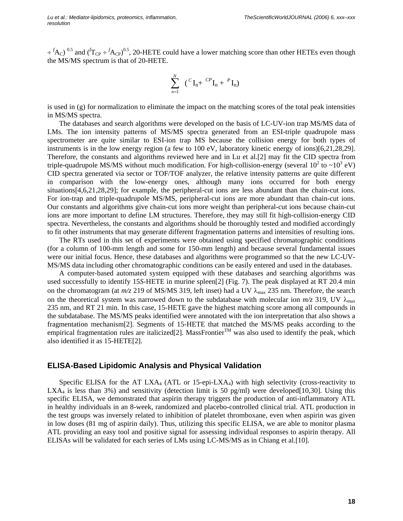$\div$ <sup>f</sup>A<sub>C</sub>)<sup>0.5</sup> and (<sup>*f*</sup>T<sub>CP</sub>  $\div$ <sup>f</sup>A<sub>CP</sub>)<sup>0.5</sup>, 20-HETE could have a lower matching score than other HETEs even though the MS/MS spectrum is that of 20-HETE.

$$
\sum_{n=1}^{N} (C_{I_n + C^P I_n + P I_n)
$$

is used in (g) for normalization to eliminate the impact on the matching scores of the total peak intensities in MS/MS spectra.

The databases and search algorithms were developed on the basis of LC-UV-ion trap MS/MS data of LMs. The ion intensity patterns of MS/MS spectra generated from an ESI-triple quadrupole mass spectrometer are quite similar to ESI-ion trap MS because the collision energy for both types of instruments is in the low energy region (a few to 100 eV, laboratory kinetic energy of ions)[6,21,28,29]. Therefore, the constants and algorithms reviewed here and in Lu et al.[2] may fit the CID spectra from triple-quadrupole MS/MS without much modification. For high-collision-energy (several  $10^2$  to  $\sim$   $10^3$  eV) CID spectra generated via sector or TOF/TOF analyzer, the relative intensity patterns are quite different in comparison with the low-energy ones, although many ions occurred for both energy situations[4,6,21,28,29]; for example, the peripheral-cut ions are less abundant than the chain-cut ions. For ion-trap and triple-quadrupole MS/MS, peripheral-cut ions are more abundant than chain-cut ions. Our constants and algorithms give chain-cut ions more weight than peripheral-cut ions because chain-cut ions are more important to define LM structures. Therefore, they may still fit high-collision-energy CID spectra. Nevertheless, the constants and algorithms should be thoroughly tested and modified accordingly to fit other instruments that may generate different fragmentation patterns and intensities of resulting ions.

The RTs used in this set of experiments were obtained using specified chromatographic conditions (for a column of 100-mm length and some for 150-mm length) and because several fundamental issues were our initial focus. Hence, these databases and algorithms were programmed so that the new LC-UV-MS/MS data including other chromatographic conditions can be easily entered and used in the databases.

A computer-based automated system equipped with these databases and searching algorithms was used successfully to identify 15*S*-HETE in murine spleen[2] (Fig. 7). The peak displayed at RT 20.4 min on the chromatogram (at  $m/z$  219 of MS/MS 319, left inset) had a UV  $\lambda_{\text{max}}$  235 nm. Therefore, the search on the theoretical system was narrowed down to the subdatabase with molecular ion  $m/z$  319, UV  $\lambda_{\text{max}}$ 235 nm, and RT 21 min. In this case, 15-HETE gave the highest matching score among all compounds in the subdatabase. The MS/MS peaks identified were annotated with the ion interpretation that also shows a fragmentation mechanism[2]. Segments of 15-HETE that matched the MS/MS peaks according to the empirical fragmentation rules are italicized[2]. MassFrontier<sup>TM</sup> was also used to identify the peak, which also identified it as 15-HETE[2].

#### **ELISA-Based Lipidomic Analysis and Physical Validation**

Specific ELISA for the AT LXA<sub>4</sub> (ATL or 15-epi-LXA<sub>4</sub>) with high selectivity (cross-reactivity to LXA<sub>4</sub> is less than 3%) and sensitivity (detection limit is 50 pg/ml) were developed[10,30]. Using this specific ELISA, we demonstrated that aspirin therapy triggers the production of anti-inflammatory ATL in healthy individuals in an 8-week, randomized and placebo-controlled clinical trial. ATL production in the test groups was inversely related to inhibition of platelet thromboxane, even when aspirin was given in low doses (81 mg of aspirin daily). Thus, utilizing this specific ELISA, we are able to monitor plasma ATL providing an easy tool and positive signal for assessing individual responses to aspirin therapy. All ELISAs will be validated for each series of LMs using LC-MS/MS as in Chiang et al.[10].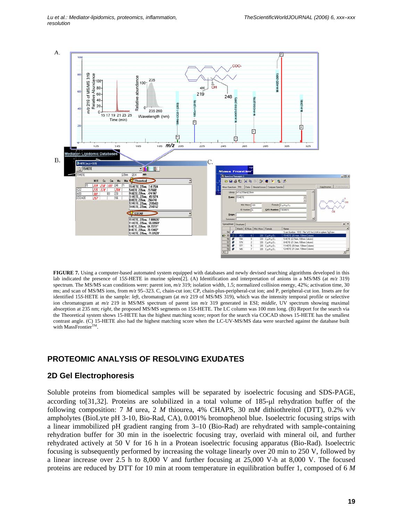

**FIGURE 7.** Using a computer-based automated system equipped with databases and newly devised searching algorithms developed in this lab indicated the presence of 15*S*-HETE in murine spleen[2]. (A) Identification and interpretation of anions in a MS/MS (at *m/z* 319) spectrum. The MS/MS scan conditions were: parent ion,  $m/z$  319; isolation width, 1.5; normalized collision energy, 42%; activation time, 30 ms; and scan of MS/MS ions, from  $m/z$  95–323. C, chain-cut ion; CP, chain-plus-peripheral-cut ion; and P, peripheral-cut ion. Insets are for identified 15*S*-HETE in the sample: *left*, chromatogram (at *m/z* 219 of MS/MS 319), which was the intensity temporal profile or selective ion chromatogram at *m/z* 219 in MS/MS spectrum of parent ion *m/z* 319 generated in ESI; *middle*, UV spectrum showing maximal absorption at 235 nm; *right*, the proposed MS/MS segments on 15*S*-HETE. The LC column was 100 mm long. (B) Report for the search via the Theoretical system shows 15-HETE has the highest matching score; report for the search via COCAD shows 15-HETE has the smallest contrast angle. (C) 15-HETE also had the highest matching score when the LC-UV-MS/MS data were searched against the database built with MassFrontier<sup>TM</sup>

### **PROTEOMIC ANALYSIS OF RESOLVING EXUDATES**

### **2D Gel Electrophoresis**

Soluble proteins from biomedical samples will be separated by isoelectric focusing and SDS-PAGE, according to[31,32]. Proteins are solubilized in a total volume of 185-μl rehydration buffer of the following composition: 7 *M* urea, 2 *M* thiourea, 4% CHAPS, 30 m*M* dithiothreitol (DTT), 0.2% v/v ampholytes (BioLyte pH 3-10, Bio-Rad, CA), 0.001% bromophenol blue. Isoelectric focusing strips with a linear immobilized pH gradient ranging from 3–10 (Bio-Rad) are rehydrated with sample-containing rehydration buffer for 30 min in the isoelectric focusing tray, overlaid with mineral oil, and further rehydrated actively at 50 V for 16 h in a Protean isoelectric focusing apparatus (Bio-Rad). Isoelectric focusing is subsequently performed by increasing the voltage linearly over 20 min to 250 V, followed by a linear increase over 2.5 h to 8,000 V and further focusing at 25,000 V-h at 8,000 V. The focused proteins are reduced by DTT for 10 min at room temperature in equilibration buffer 1, composed of 6 *M*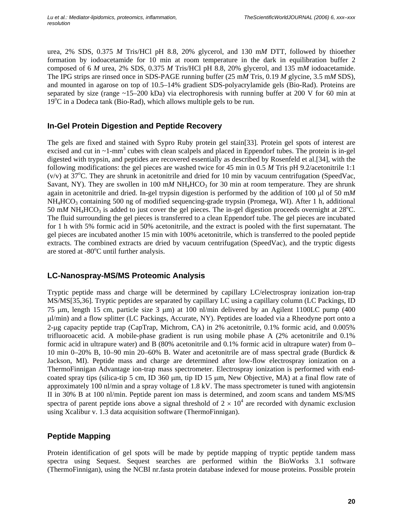urea, 2% SDS, 0.375 *M* Tris/HCl pH 8.8, 20% glycerol, and 130 m*M* DTT, followed by thioether formation by iodoacetamide for 10 min at room temperature in the dark in equilibration buffer 2 composed of 6 *M* urea, 2% SDS, 0.375 *M* Tris/HCl pH 8.8, 20% glycerol, and 135 m*M* iodoacetamide. The IPG strips are rinsed once in SDS-PAGE running buffer (25 m*M* Tris, 0.19 *M* glycine, 3.5 m*M* SDS), and mounted in agarose on top of 10.5–14% gradient SDS-polyacrylamide gels (Bio-Rad). Proteins are separated by size (range ~15–200 kDa) via electrophoresis with running buffer at 200 V for 60 min at 19<sup>°</sup>C in a Dodeca tank (Bio-Rad), which allows multiple gels to be run.

## **In-Gel Protein Digestion and Peptide Recovery**

The gels are fixed and stained with Sypro Ruby protein gel stain[33]. Protein gel spots of interest are excised and cut in  $\sim$ 1-mm<sup>3</sup> cubes with clean scalpels and placed in Eppendorf tubes. The protein is in-gel digested with trypsin, and peptides are recovered essentially as described by Rosenfeld et al.[34], with the following modifications: the gel pieces are washed twice for 45 min in 0.5 *M* Tris pH 9.2/acetonitrile 1:1 (v/v) at  $37^{\circ}$ C. They are shrunk in acetonitrile and dried for 10 min by vacuum centrifugation (SpeedVac, Savant, NY). They are swollen in 100 mM NH<sub>4</sub>HCO<sub>3</sub> for 30 min at room temperature. They are shrunk again in acetonitrile and dried. In-gel trypsin digestion is performed by the addition of 100 μl of 50 m*M*  $NH<sub>4</sub>HCO<sub>3</sub>$  containing 500 ng of modified sequencing-grade trypsin (Promega, WI). After 1 h, additional 50 mM NH<sub>4</sub>HCO<sub>3</sub> is added to just cover the gel pieces. The in-gel digestion proceeds overnight at 28<sup>o</sup>C. The fluid surrounding the gel pieces is transferred to a clean Eppendorf tube. The gel pieces are incubated for 1 h with 5% formic acid in 50% acetonitrile, and the extract is pooled with the first supernatant. The gel pieces are incubated another 15 min with 100% acetonitrile, which is transferred to the pooled peptide extracts. The combined extracts are dried by vacuum centrifugation (SpeedVac), and the tryptic digests are stored at  $-80^{\circ}$ C until further analysis.

### **LC-Nanospray-MS/MS Proteomic Analysis**

Tryptic peptide mass and charge will be determined by capillary LC/electrospray ionization ion-trap MS/MS[35,36]. Tryptic peptides are separated by capillary LC using a capillary column (LC Packings, ID 75 μm, length 15 cm, particle size 3 μm) at 100 nl/min delivered by an Agilent 1100LC pump (400 μl/min) and a flow splitter (LC Packings, Accurate, NY). Peptides are loaded via a Rheodyne port onto a 2-μg capacity peptide trap (CapTrap, Michrom, CA) in 2% acetonitrile, 0.1% formic acid, and 0.005% trifluoroacetic acid. A mobile-phase gradient is run using mobile phase A (2% acetonitrile and 0.1% formic acid in ultrapure water) and B (80% acetonitrile and 0.1% formic acid in ultrapure water) from 0– 10 min 0–20% B, 10–90 min 20–60% B. Water and acetonitrile are of mass spectral grade (Burdick & Jackson, MI). Peptide mass and charge are determined after low-flow electrospray ionization on a ThermoFinnigan Advantage ion-trap mass spectrometer. Electrospray ionization is performed with endcoated spray tips (silica-tip 5 cm, ID 360  $\mu$ m, tip ID 15  $\mu$ m, New Objective, MA) at a final flow rate of approximately 100 nl/min and a spray voltage of 1.8 kV. The mass spectrometer is tuned with angiotensin II in 30% B at 100 nl/min. Peptide parent ion mass is determined, and zoom scans and tandem MS/MS spectra of parent peptide ions above a signal threshold of  $2 \times 10^4$  are recorded with dynamic exclusion using Xcalibur v. 1.3 data acquisition software (ThermoFinnigan).

## **Peptide Mapping**

Protein identification of gel spots will be made by peptide mapping of tryptic peptide tandem mass spectra using Sequest. Sequest searches are performed within the BioWorks 3.1 software (ThermoFinnigan), using the NCBI nr.fasta protein database indexed for mouse proteins. Possible protein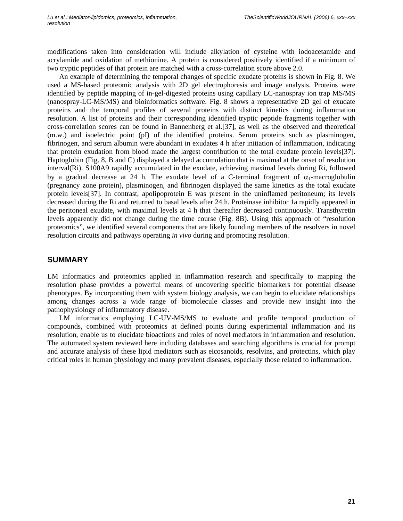modifications taken into consideration will include alkylation of cysteine with iodoacetamide and acrylamide and oxidation of methionine. A protein is considered positively identified if a minimum of two tryptic peptides of that protein are matched with a cross-correlation score above 2.0.

An example of determining the temporal changes of specific exudate proteins is shown in Fig. 8. We used a MS-based proteomic analysis with 2D gel electrophoresis and image analysis. Proteins were identified by peptide mapping of in-gel-digested proteins using capillary LC-nanospray ion trap MS/MS (nanospray-LC-MS/MS) and bioinformatics software. Fig. 8 shows a representative 2D gel of exudate proteins and the temporal profiles of several proteins with distinct kinetics during inflammation resolution. A list of proteins and their corresponding identified tryptic peptide fragments together with cross-correlation scores can be found in Bannenberg et al.[37], as well as the observed and theoretical (m.w.) and isoelectric point (pI) of the identified proteins. Serum proteins such as plasminogen, fibrinogen, and serum albumin were abundant in exudates 4 h after initiation of inflammation, indicating that protein exudation from blood made the largest contribution to the total exudate protein levels[37]. Haptoglobin (Fig. 8, B and C) displayed a delayed accumulation that is maximal at the onset of resolution interval(Ri). S100A9 rapidly accumulated in the exudate, achieving maximal levels during Ri, followed by a gradual decrease at 24 h. The exudate level of a C-terminal fragment of  $\alpha_1$ -macroglobulin (pregnancy zone protein), plasminogen, and fibrinogen displayed the same kinetics as the total exudate protein levels[37]. In contrast, apolipoprotein E was present in the uninflamed peritoneum; its levels decreased during the Ri and returned to basal levels after 24 h. Proteinase inhibitor 1a rapidly appeared in the peritoneal exudate, with maximal levels at 4 h that thereafter decreased continuously. Transthyretin levels apparently did not change during the time course (Fig. 8B). Using this approach of "resolution proteomics", we identified several components that are likely founding members of the resolvers in novel resolution circuits and pathways operating *in vivo* during and promoting resolution.

### **SUMMARY**

LM informatics and proteomics applied in inflammation research and specifically to mapping the resolution phase provides a powerful means of uncovering specific biomarkers for potential disease phenotypes. By incorporating them with system biology analysis, we can begin to elucidate relationships among changes across a wide range of biomolecule classes and provide new insight into the pathophysiology of inflammatory disease.

LM informatics employing LC-UV-MS/MS to evaluate and profile temporal production of compounds, combined with proteomics at defined points during experimental inflammation and its resolution, enable us to elucidate bioactions and roles of novel mediators in inflammation and resolution. The automated system reviewed here including databases and searching algorithms is crucial for prompt and accurate analysis of these lipid mediators such as eicosanoids, resolvins, and protectins, which play critical roles in human physiology and many prevalent diseases, especially those related to inflammation.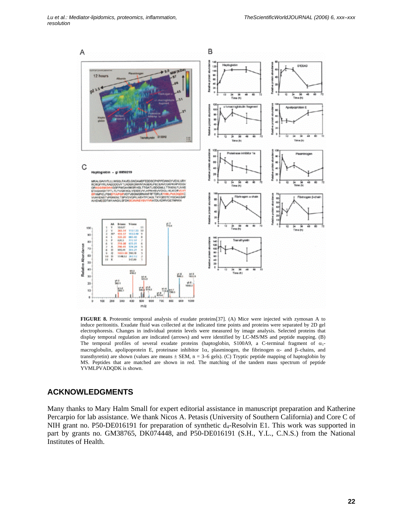

**FIGURE 8.** Proteomic temporal analysis of exudate proteins[37]. (A) Mice were injected with zymosan A to induce peritonitis. Exudate fluid was collected at the indicated time points and proteins were separated by 2D gel electrophoresis. Changes in individual protein levels were measured by image analysis. Selected proteins that display temporal regulation are indicated (arrows) and were identified by LC-MS/MS and peptide mapping. (B) The temporal profiles of several exudate proteins (haptoglobin, S100A9, a C-terminal fragment of  $\alpha_1$ macroglobulin, apolipoprotein E, proteinase inhibitor 1α, plasminogen, the fibrinogen α- and β–chains, and transthyretin) are shown (values are means  $\pm$  SEM, n = 3–6 gels). (C) Tryptic peptide mapping of haptoglobin by MS. Peptides that are matched are shown in red. The matching of the tandem mass spectrum of peptide YVMLPVADQDK is shown.

#### **ACKNOWLEDGMENTS**

Many thanks to Mary Halm Small for expert editorial assistance in manuscript preparation and Katherine Percarpio for lab assistance. We thank Nicos A. Petasis (University of Southern California) and Core C of NIH grant no. P50-DE016191 for preparation of synthetic  $d_4$ -Resolvin E1. This work was supported in part by grants no. GM38765, DK074448, and P50-DE016191 (S.H., Y.L., C.N.S.) from the National Institutes of Health.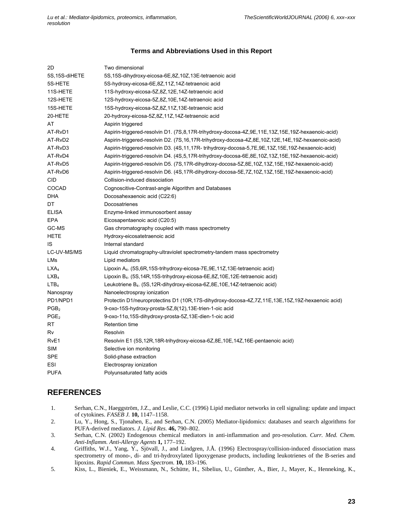#### **Terms and Abbreviations Used in this Report**

| 2D               | Two dimensional                                                                                   |  |  |
|------------------|---------------------------------------------------------------------------------------------------|--|--|
| 5S,15S-diHETE    | 5S,15S-dihydroxy-eicosa-6E,8Z,10Z,13E-tetraenoic acid                                             |  |  |
| 5S-HETE          | 5S-hydroxy-eicosa-6E,8Z,11Z,14Z-tetraenoic acid                                                   |  |  |
| 11S-HETE         | 11S-hydroxy-eicosa-5Z,8Z,12E,14Z-tetraenoic acid                                                  |  |  |
| 12S-HETE         | 12S-hydroxy-eicosa-5Z,8Z,10E,14Z-tetraenoic acid                                                  |  |  |
| 15S-HETE         | 15S-hydroxy-eicosa-5Z,8Z,11Z,13E-tetraenoic acid                                                  |  |  |
| 20-HETE          | 20-hydroxy-eicosa-5Z,8Z,11Z,14Z-tetraenoic acid                                                   |  |  |
| AT               | Aspirin triggered                                                                                 |  |  |
| AT-RvD1          | Aspirin-triggered-resolvin D1. (7S,8,17R-trihydroxy-docosa-4Z,9E,11E,13Z,15E,19Z-hexaenoic-acid)  |  |  |
| AT-RvD2          | Aspirin-triggered-resolvin D2. (7S,16,17R-trihydroxy-docosa-4Z,8E,10Z,12E,14E,19Z-hexaenoic-acid) |  |  |
| AT-RvD3          | Aspirin-triggered-resolvin D3. (4S,11,17R-trihydroxy-docosa-5,7E,9E,13Z,15E,19Z-hexaenoic-acid)   |  |  |
| AT-RvD4          | Aspirin-triggered-resolvin D4. (4S,5,17R-trihydroxy-docosa-6E,8E,10Z,13Z,15E,19Z-hexaenoic-acid)  |  |  |
| AT-RvD5          | Aspirin-triggered-resolvin D5. (7S,17R-dihydroxy-docosa-5Z,8E,10Z,13Z,15E,19Z-hexaenoic-acid)     |  |  |
| AT-RvD6          | Aspirin-triggered-resolvin D6. (4S,17R-dihydroxy-docosa-5E,7Z,10Z,13Z,15E,19Z-hexaenoic-acid)     |  |  |
| <b>CID</b>       | Collision-induced dissociation                                                                    |  |  |
| COCAD            | Cognoscitive-Contrast-angle Algorithm and Databases                                               |  |  |
| DHA              | Docosahexaenoic acid (C22:6)                                                                      |  |  |
| DT               | Docosatrienes                                                                                     |  |  |
| <b>ELISA</b>     | Enzyme-linked immunosorbent assay                                                                 |  |  |
| EPA              | Eicosapentaenoic acid (C20:5)                                                                     |  |  |
| GC-MS            | Gas chromatography coupled with mass spectrometry                                                 |  |  |
| <b>HETE</b>      | Hydroxy-eicosatetraenoic acid                                                                     |  |  |
| IS               | Internal standard                                                                                 |  |  |
| LC-UV-MS/MS      | Liquid chromatography-ultraviolet spectrometry-tandem mass spectrometry                           |  |  |
| LMs              | Lipid mediators                                                                                   |  |  |
| LXA <sub>4</sub> | Lipoxin A <sub>4</sub> . (5S, 6R, 15S-trihydroxy-eicosa-7E, 9E, 11Z, 13E-tetraenoic acid)         |  |  |
| LXB <sub>4</sub> | Lipoxin B <sub>4</sub> . (5S, 14R, 15S-trihydroxy-eicosa-6E, 8Z, 10E, 12E-tetraenoic acid)        |  |  |
| LTB <sub>4</sub> | Leukotriene B <sub>4</sub> . (5S, 12R-dihydroxy-eicosa-6Z, 8E, 10E, 14Z-tetraenoic acid)          |  |  |
| Nanospray        | Nanoelectrospray ionization                                                                       |  |  |
| PD1/NPD1         | Protectin D1/neuroprotectins D1 (10R,17S-dihydroxy-docosa-4Z,7Z,11E,13E,15Z,19Z-hexaenoic acid)   |  |  |
| PGB <sub>2</sub> | 9-oxo-15S-hydroxy-prosta-5Z,8(12),13E-trien-1-oic acid                                            |  |  |
| PGE <sub>2</sub> | 9-oxo-11α, 15S-dihydroxy-prosta-5Z, 13E-dien-1-oic acid                                           |  |  |
| RT               | <b>Retention time</b>                                                                             |  |  |
| R٧               | Resolvin                                                                                          |  |  |
| RvE <sub>1</sub> | Resolvin E1 (5S,12R,18R-trihydroxy-eicosa-6Z,8E,10E,14Z,16E-pentaenoic acid)                      |  |  |
| SIM              | Selective ion monitoring                                                                          |  |  |
| <b>SPE</b>       | Solid-phase extraction                                                                            |  |  |
| ESI              | Electrospray ionization                                                                           |  |  |
| <b>PUFA</b>      | Polyunsaturated fatty acids                                                                       |  |  |

## **REFERENCES**

- 1. Serhan, C.N., Haeggström, J.Z., and Leslie, C.C. (1996) Lipid mediator networks in cell signaling: update and impact of cytokines. *FASEB J.* **10,** 1147–1158.
- 2. Lu, Y., Hong, S., Tjonahen, E., and Serhan, C.N. (2005) Mediator-lipidomics: databases and search algorithms for PUFA-derived mediators. *J. Lipid Res.* **46,** 790–802.
- 3. Serhan, C.N. (2002) Endogenous chemical mediators in anti-inflammation and pro-resolution. *Curr. Med. Chem. Anti-Inflamm. Anti-Allergy Agents* **1,** 177–192.
- 4. Griffiths, W.J., Yang, Y., Sjövall, J., and Lindgren, J.Å. (1996) Electrospray/collision-induced dissociation mass spectrometry of mono-, di- and tri-hydroxylated lipoxygenase products, including leukotrienes of the B-series and lipoxins. *Rapid Commun. Mass Spectrom.* **10,** 183–196.
- 5. Kiss, L., Bieniek, E., Weissmann, N., Schütte, H., Sibelius, U., Günther, A., Bier, J., Mayer, K., Henneking, K.,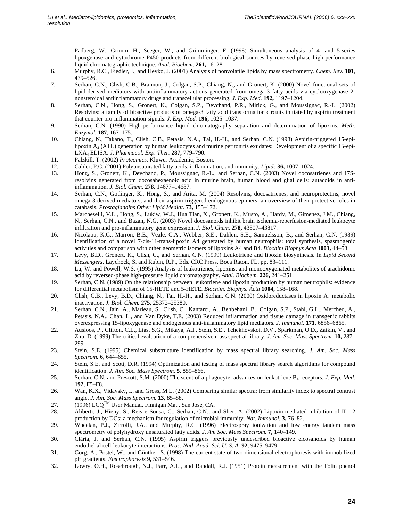Padberg, W., Grimm, H., Seeger, W., and Grimminger, F. (1998) Simultaneous analysis of 4- and 5-series lipoxgenase and cytochrome P450 products from different biological sources by reversed-phase high-performance liquid chromatographic technique. *Anal. Biochem.* **261,** 16–28.

- 6. Murphy, R.C., Fiedler, J., and Hevko, J. (2001) Analysis of nonvolatile lipids by mass spectrometry. *Chem. Rev.* **101**, 479–526.
- 7. Serhan, C.N., Clish, C.B., Brannon, J., Colgan, S.P., Chiang, N., and Gronert, K. (2000) Novel functional sets of lipid-derived mediators with antiinflammatory actions generated from omega-3 fatty acids via cyclooxygenase 2 nonsteroidal antiinflammatory drugs and transcellular processing. *J. Exp. Med.* **192,** 1197–1204.
- 8. Serhan, C.N., Hong, S., Gronert, K., Colgan, S.P., Devchand, P.R., Mirick, G., and Moussignac, R.-L. (2002) Resolvins: a family of bioactive products of omega-3 fatty acid transformation circuits initiated by aspirin treatment that counter pro-inflammation signals. *J. Exp. Med.* **196,** 1025–1037.
- 9. Serhan, C.N. (1990) High-performance liquid chromatography separation and determination of lipoxins. *Meth. Enzymol.* **187**, 167–175.
- 10. Chiang, N., Takano, T., Clish, C.B., Petasis, N.A., Tai, H.-H., and Serhan, C.N. (1998) Aspirin-triggered 15-epilipoxin A4 (ATL) generation by human leukocytes and murine peritonitis exudates: Development of a specific 15-epi-LXA4 ELISA. *J. Pharmacol. Exp. Ther.* **287,** 779–790.
- 11. Palzkill, T. (2002) *Proteomics.* Kluwer Academic, Boston.
- 12. Calder, P.C. (2001) Polyunsaturated fatty acids, inflammation, and immunity. *Lipids* **36,** 1007–1024.
- 13. Hong, S., Gronert, K., Devchand, P., Moussignac, R.-L., and Serhan, C.N. (2003) Novel docosatrienes and 17Sresolvins generated from docosahexaenoic acid in murine brain, human blood and glial cells: autacoids in antiinflammation. *J. Biol. Chem.* **278,** 14677–14687.
- 14. Serhan, C.N., Gotlinger, K., Hong, S., and Arita, M. (2004) Resolvins, docosatrienes, and neuroprotectins, novel omega-3-derived mediators, and their aspirin-triggered endogenous epimers: an overview of their protective roles in catabasis. *Prostaglandins Other Lipid Mediat.* **73,** 155–172.
- 15. Marcheselli, V.L., Hong, S., Lukiw, W.J., Hua Tian, X., Gronert, K., Musto, A., Hardy, M., Gimenez, J.M., Chiang, N., Serhan, C.N., and Bazan, N.G. (2003) Novel docosanoids inhibit brain ischemia-reperfusion-mediated leukocyte infiltration and pro-inflammatory gene expression. *J. Biol. Chem.* **278,** 43807–43817.
- 16. Nicolaou, K.C., Marron, B.E., Veale, C.A., Webber, S.E., Dahlen, S.E., Samuelsson, B., and Serhan, C.N. (1989) Identification of a novel 7-cis-11-trans-lipoxin A4 generated by human neutrophils: total synthesis, spasmogenic activities and comparison with other geometric isomers of lipoxins A4 and B4. *Biochim Biophys Acta* **1003,** 44–53.
- 17. Levy, B.D., Gronert, K., Clish, C., and Serhan, C.N. (1999) Leukotriene and lipoxin biosynthesis. In *Lipid Second Messengers*. Laychock, S. and Rubin, R.P., Eds. CRC Press, Boca Raton, FL. pp. 83–111.
- 18. Lu, W. and Powell, W.S. (1995) Analysis of leukotrienes, lipoxins, and monooxygenated metabolites of arachidonic acid by reversed-phase high-pressure liquid chromatography. *Anal. Biochem.* **226,** 241–251.
- 19. Serhan, C.N. (1989) On the relationship between leukotriene and lipoxin production by human neutrophils: evidence for differential metabolism of 15-HETE and 5-HETE. *Biochim. Biophys. Acta* **1004,** 158–168.
- 20. Clish, C.B., Levy, B.D., Chiang, N., Tai, H.-H., and Serhan, C.N. (2000) Oxidoreductases in lipoxin A<sub>4</sub> metabolic inactivation. *J. Biol. Chem.* **275**, 25372–25380.
- 21. Serhan, C.N., Jain, A., Marleau, S., Clish, C., Kantarci, A., Behbehani, B., Colgan, S.P., Stahl, G.L., Merched, A., Petasis, N.A., Chan, L., and Van Dyke, T.E. (2003) Reduced inflammation and tissue damage in transgenic rabbits overexpressing 15-lipoxygenase and endogenous anti-inflammatory lipid mediators. *J. Immunol.* **171**, 6856–6865.
- 22. Ausloos, P., Clifton, C.L., Lias, S.G., Mikaya, A.I., Stein, S.E., Tchekhovskoi, D.V., Sparkman, O.D., Zaikin, V., and Zhu, D. (1999) The critical evaluation of a comprehensive mass spectral library. *J. Am. Soc. Mass Spectrom.* **10,** 287– 299.
- 23. Stein, S.E. (1995) Chemical substructure identification by mass spectral library searching. *J. Am. Soc. Mass Spectrom.* **6,** 644–655.
- 24. Stein, S.E. and Scott, D.R. (1994) Optimization and testing of mass spectral library search algorithms for compound identification. *J. Am. Soc. Mass Spectrom.* **5**, 859–866.
- 25. Serhan, C.N. and Prescott, S.M. (2000) The scent of a phagocyte: advances on leukotriene B4 receptors. *J. Exp. Med.* **192**, F5–F8.
- 26. Wan, K.X., Vidavsky, I., and Gross, M.L. (2002) Comparing similar spectra: from similarity index to spectral contrast angle. *J. Am. Soc. Mass Spectrom.* **13**, 85–88.
- 27. (1996) LCQ<sup>TM</sup> User Manual. Finnigan Mat., San Jose, CA.
- 28. Aliberti, J., Hieny, S., Reis e Sousa, C., Serhan, C.N., and Sher, A. (2002) Lipoxin-mediated inhibition of IL-12 production by DCs: a mechanism for regulation of microbial immunity. *Nat. Immunol.* **3,** 76–82.
- 29. Wheelan, P.J., Zirrolli, J.A., and Murphy, R.C. (1996) Electrospray ionization and low energy tandem mass spectrometry of polyhydroxy unsaturated fatty acids. *J. Am Soc. Mass Spectrom.* **7,** 140–149.
- 30. Clària, J. and Serhan, C.N. (1995) Aspirin triggers previously undescribed bioactive eicosanoids by human endothelial cell-leukocyte interactions. *Proc. Natl. Acad. Sci. U. S. A.* **92**, 9475–9479.
- 31. Görg, A., Postel, W., and Günther, S. (1998) The current state of two-dimensional electrophoresis with immobilized pH gradients. *Electrophoresis* **9,** 531–546.
- 32. Lowry, O.H., Rosebrough, N.J., Farr, A.L., and Randall, R.J. (1951) Protein measurement with the Folin phenol